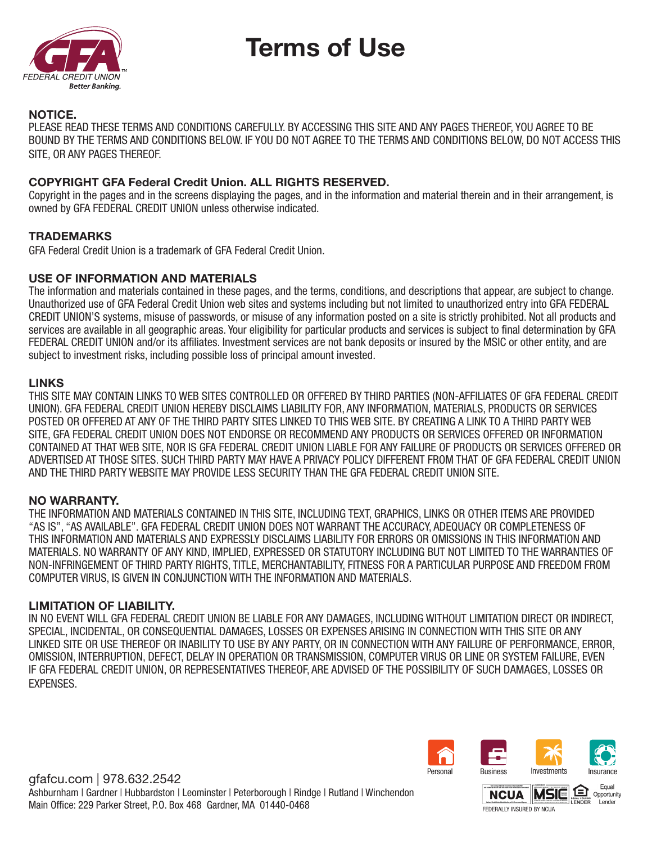



### NOTICE.

PLEASE READ THESE TERMS AND CONDITIONS CAREFULLY. BY ACCESSING THIS SITE AND ANY PAGES THEREOF, YOU AGREE TO BE BOUND BY THE TERMS AND CONDITIONS BELOW. IF YOU DO NOT AGREE TO THE TERMS AND CONDITIONS BELOW, DO NOT ACCESS THIS SITE, OR ANY PAGES THEREOF.

## COPYRIGHT GFA Federal Credit Union. ALL RIGHTS RESERVED.

Copyright in the pages and in the screens displaying the pages, and in the information and material therein and in their arrangement, is owned by GFA FEDERAL CREDIT UNION unless otherwise indicated.

## **TRADEMARKS**

GFA Federal Credit Union is a trademark of GFA Federal Credit Union.

### USE OF INFORMATION AND MATERIALS

The information and materials contained in these pages, and the terms, conditions, and descriptions that appear, are subject to change. Unauthorized use of GFA Federal Credit Union web sites and systems including but not limited to unauthorized entry into GFA FEDERAL CREDIT UNION'S systems, misuse of passwords, or misuse of any information posted on a site is strictly prohibited. Not all products and services are available in all geographic areas. Your eligibility for particular products and services is subject to final determination by GFA FEDERAL CREDIT UNION and/or its affiliates. Investment services are not bank deposits or insured by the MSIC or other entity, and are subject to investment risks, including possible loss of principal amount invested.

### LINKS

THIS SITE MAY CONTAIN LINKS TO WEB SITES CONTROLLED OR OFFERED BY THIRD PARTIES (NON-AFFILIATES OF GFA FEDERAL CREDIT UNION). GFA FEDERAL CREDIT UNION HEREBY DISCLAIMS LIABILITY FOR, ANY INFORMATION, MATERIALS, PRODUCTS OR SERVICES POSTED OR OFFERED AT ANY OF THE THIRD PARTY SITES LINKED TO THIS WEB SITE. BY CREATING A LINK TO A THIRD PARTY WEB SITE, GFA FEDERAL CREDIT UNION DOES NOT ENDORSE OR RECOMMEND ANY PRODUCTS OR SERVICES OFFERED OR INFORMATION CONTAINED AT THAT WEB SITE, NOR IS GFA FEDERAL CREDIT UNION LIABLE FOR ANY FAILURE OF PRODUCTS OR SERVICES OFFERED OR ADVERTISED AT THOSE SITES. SUCH THIRD PARTY MAY HAVE A PRIVACY POLICY DIFFERENT FROM THAT OF GFA FEDERAL CREDIT UNION AND THE THIRD PARTY WEBSITE MAY PROVIDE LESS SECURITY THAN THE GFA FEDERAL CREDIT UNION SITE.

#### NO WARRANTY.

THE INFORMATION AND MATERIALS CONTAINED IN THIS SITE, INCLUDING TEXT, GRAPHICS, LINKS OR OTHER ITEMS ARE PROVIDED "AS IS", "AS AVAILABLE". GFA FEDERAL CREDIT UNION DOES NOT WARRANT THE ACCURACY, ADEQUACY OR COMPLETENESS OF THIS INFORMATION AND MATERIALS AND EXPRESSLY DISCLAIMS LIABILITY FOR ERRORS OR OMISSIONS IN THIS INFORMATION AND MATERIALS. NO WARRANTY OF ANY KIND, IMPLIED, EXPRESSED OR STATUTORY INCLUDING BUT NOT LIMITED TO THE WARRANTIES OF NON-INFRINGEMENT OF THIRD PARTY RIGHTS, TITLE, MERCHANTABILITY, FITNESS FOR A PARTICULAR PURPOSE AND FREEDOM FROM COMPUTER VIRUS, IS GIVEN IN CONJUNCTION WITH THE INFORMATION AND MATERIALS.

#### LIMITATION OF LIABILITY.

IN NO EVENT WILL GFA FEDERAL CREDIT UNION BE LIABLE FOR ANY DAMAGES, INCLUDING WITHOUT LIMITATION DIRECT OR INDIRECT, SPECIAL, INCIDENTAL, OR CONSEQUENTIAL DAMAGES, LOSSES OR EXPENSES ARISING IN CONNECTION WITH THIS SITE OR ANY LINKED SITE OR USE THEREOF OR INABILITY TO USE BY ANY PARTY, OR IN CONNECTION WITH ANY FAILURE OF PERFORMANCE, ERROR, OMISSION, INTERRUPTION, DEFECT, DELAY IN OPERATION OR TRANSMISSION, COMPUTER VIRUS OR LINE OR SYSTEM FAILURE, EVEN IF GFA FEDERAL CREDIT UNION, OR REPRESENTATIVES THEREOF, ARE ADVISED OF THE POSSIBILITY OF SUCH DAMAGES, LOSSES OR EXPENSES.